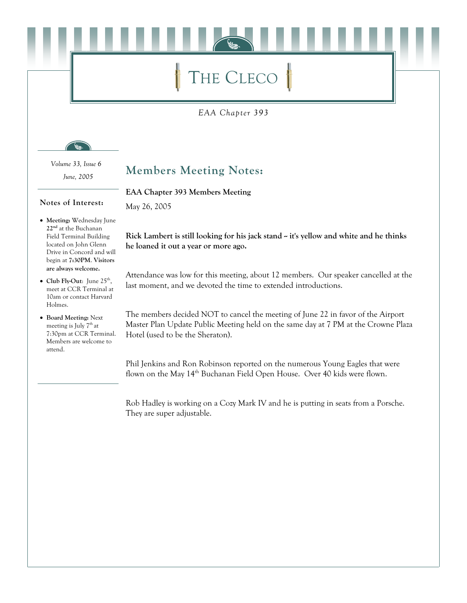# THE CLECO

EAA Chapter 393

Volume 33, Issue 6 June, 2005

Notes of Interest:

#### **Members Meeting Notes:**

EAA Chapter 393 Members Meeting

May 26, 2005

- Meeting: Wednesday June 22<sup>nd</sup> at the Buchanan Field Terminal Building located on John Glenn Drive in Concord and will begin at 7:30PM. Visitors are always welcome.
- Club Fly-Out: June  $25^{\text{th}}$ , meet at CCR Terminal at 10am or contact Harvard Holmes.
- Board Meeting: Next meeting is July 7<sup>th</sup> at 7:30pm at CCR Terminal. Members are welcome to attend.

## Rick Lambert is still looking for his jack stand ~ it's yellow and white and he thinks he loaned it out a year or more ago.

Attendance was low for this meeting, about 12 members. Our speaker cancelled at the last moment, and we devoted the time to extended introductions.

The members decided NOT to cancel the meeting of June 22 in favor of the Airport Master Plan Update Public Meeting held on the same day at 7 PM at the Crowne Plaza Hotel (used to be the Sheraton).

Phil Jenkins and Ron Robinson reported on the numerous Young Eagles that were flown on the May 14<sup>th</sup> Buchanan Field Open House. Over 40 kids were flown.

Rob Hadley is working on a Cozy Mark IV and he is putting in seats from a Porsche. They are super adjustable.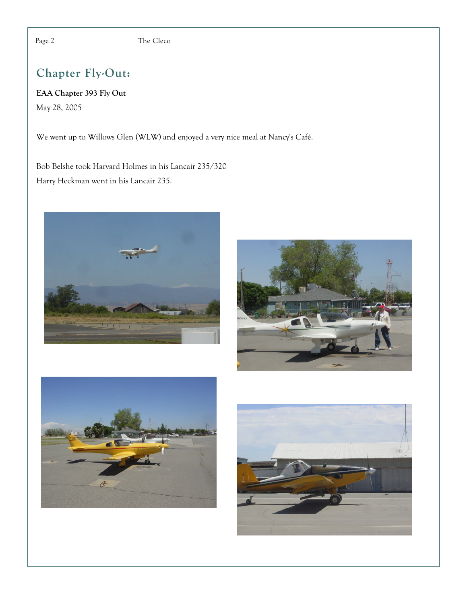The Cleco

### Chapter Fly-Out:

EAA Chapter 393 Fly Out May 28, 2005

We went up to Willows Glen (WLW) and enjoyed a very nice meal at Nancy's Café.

Bob Belshe took Harvard Holmes in his Lancair 235/320 Harry Heckman went in his Lancair 235.









Page 2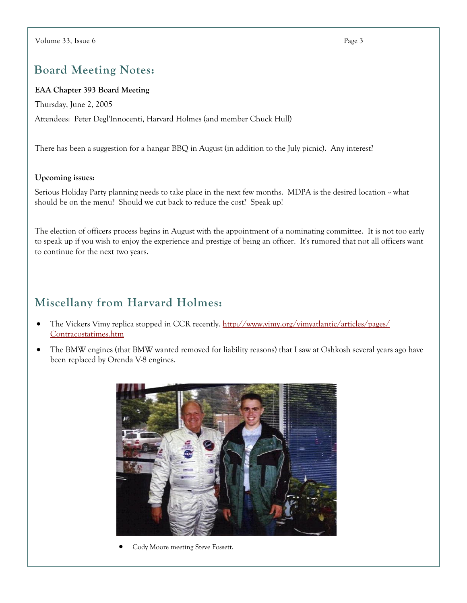#### **Board Meeting Notes:**

#### EAA Chapter 393 Board Meeting

Thursday, June 2, 2005

Attendees: Peter Degl'Innocenti, Harvard Holmes (and member Chuck Hull)

There has been a suggestion for a hangar BBO in August (in addition to the July picnic). Any interest?

#### Upcoming issues:

Serious Holiday Party planning needs to take place in the next few months. MDPA is the desired location ~ what should be on the menu? Should we cut back to reduce the cost? Speak up!

The election of officers process begins in August with the appointment of a nominating committee. It is not too early to speak up if you wish to enjoy the experience and prestige of being an officer. It's rumored that not all officers want to continue for the next two years.

#### Miscellany from Harvard Holmes:

- The Vickers Vimy replica stopped in CCR recently. http://www.vimy.org/vimyatlantic/articles/pages/ Contracostatimes.htm
- The BMW engines (that BMW wanted removed for liability reasons) that I saw at Oshkosh several years ago have been replaced by Orenda V-8 engines.



Cody Moore meeting Steve Fossett.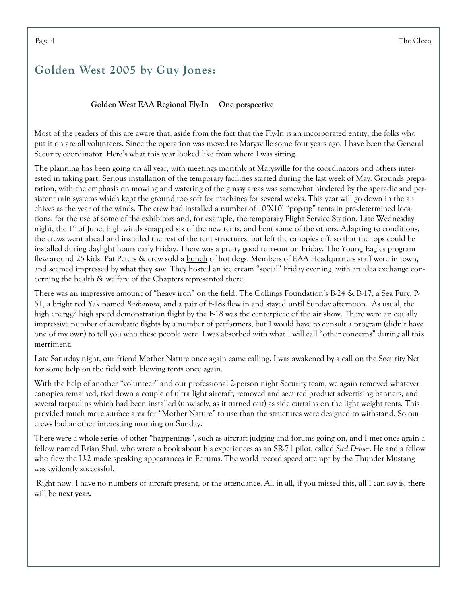#### Golden West 2005 by Guy Jones:

#### Golden West EAA Regional Fly-In One perspective

Most of the readers of this are aware that, aside from the fact that the Fly-In is an incorporated entity, the folks who put it on are all volunteers. Since the operation was moved to Marysville some four years ago, I have been the General Security coordinator. Here's what this year looked like from where I was sitting.

The planning has been going on all year, with meetings monthly at Marysville for the coordinators and others interested in taking part. Serious installation of the temporary facilities started during the last week of May. Grounds preparation, with the emphasis on mowing and watering of the grassy areas was somewhat hindered by the sporadic and persistent rain systems which kept the ground too soft for machines for several weeks. This year will go down in the archives as the year of the winds. The crew had installed a number of 10'X10' "pop-up" tents in pre-determined locations, for the use of some of the exhibitors and, for example, the temporary Flight Service Station. Late Wednesday night, the 1<sup>st</sup> of June, high winds scrapped six of the new tents, and bent some of the others. Adapting to conditions, the crews went ahead and installed the rest of the tent structures, but left the canopies off, so that the tops could be installed during daylight hours early Friday. There was a pretty good turn-out on Friday. The Young Eagles program flew around 25 kids. Pat Peters & crew sold a <u>bunch</u> of hot dogs. Members of EAA Headquarters staff were in town, and seemed impressed by what they saw. They hosted an ice cream "social" Friday evening, with an idea exchange concerning the health & welfare of the Chapters represented there.

There was an impressive amount of "heavy iron" on the field. The Collings Foundation's B-24 & B-17, a Sea Fury, P-51, a bright red Yak named Barbarossa, and a pair of F-18s flew in and stayed until Sunday afternoon. As usual, the high energy/ high speed demonstration flight by the F-18 was the centerpiece of the air show. There were an equally impressive number of aerobatic flights by a number of performers, but I would have to consult a program (didn't have one of my own) to tell you who these people were. I was absorbed with what I will call "other concerns" during all this merriment.

Late Saturday night, our friend Mother Nature once again came calling. I was awakened by a call on the Security Net for some help on the field with blowing tents once again.

With the help of another "volunteer" and our professional 2-person night Security team, we again removed whatever canopies remained, tied down a couple of ultra light aircraft, removed and secured product advertising banners, and several tarpaulins which had been installed (unwisely, as it turned out) as side curtains on the light weight tents. This provided much more surface area for "Mother Nature" to use than the structures were designed to withstand. So our crews had another interesting morning on Sunday.

There were a whole series of other "happenings", such as aircraft judging and forums going on, and I met once again a fellow named Brian Shul, who wrote a book about his experiences as an SR-71 pilot, called Sled Driver. He and a fellow who flew the U-2 made speaking appearances in Forums. The world record speed attempt by the Thunder Mustang was evidently successful.

Right now, I have no numbers of aircraft present, or the attendance. All in all, if you missed this, all I can say is, there will be next year.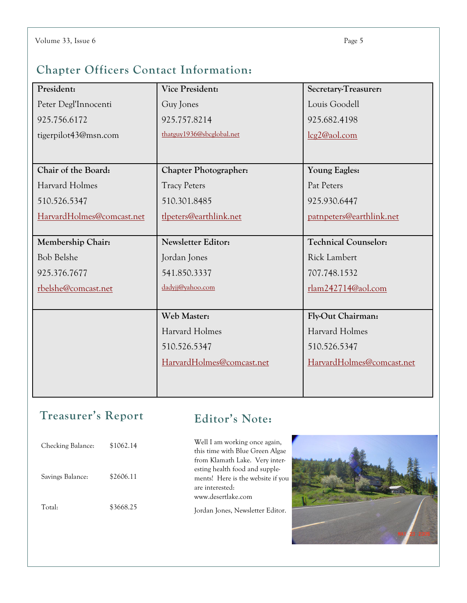#### Chapter Officers Contact Information:

| President:                | <b>Vice President:</b>       | Secretary-Treasurer:        |
|---------------------------|------------------------------|-----------------------------|
| Peter Degl'Innocenti      | Guy Jones                    | Louis Goodell               |
| 925.756.6172              | 925.757.8214                 | 925.682.4198                |
| tigerpilot43@msn.com      | thatguy1936@sbcglobal.net    | lcg2@aol.com                |
|                           |                              |                             |
| Chair of the Board:       | <b>Chapter Photographer:</b> | <b>Young Eagles:</b>        |
| <b>Harvard Holmes</b>     | <b>Tracy Peters</b>          | Pat Peters                  |
| 510.526.5347              | 510.301.8485                 | 925.930.6447                |
| HarvardHolmes@comcast.net | tlpeters@earthlink.net       | patnpeters@earthlink.net    |
|                           |                              |                             |
| Membership Chair:         | <b>Newsletter Editor:</b>    | <b>Technical Counselor:</b> |
| <b>Bob Belshe</b>         | Jordan Jones                 | <b>Rick Lambert</b>         |
| 925.376.7677              | 541.850.3337                 | 707.748.1532                |
| rbelshe@comcast.net       | dadyjj@yahoo.com             | rlam242714@aol.com          |
|                           |                              |                             |
|                           | Web Master:                  | Fly-Out Chairman:           |
|                           | Harvard Holmes               | Harvard Holmes              |
|                           | 510.526.5347                 | 510.526.5347                |
|                           | HarvardHolmes@comcast.net    | HarvardHolmes@comcast.net   |
|                           |                              |                             |
|                           |                              |                             |

#### Treasurer's Report

#### Editor's Note:

| Checking Balance: | \$1062.14 |
|-------------------|-----------|
| Savings Balance:  | \$2606.11 |
| Total:            | \$3668.25 |